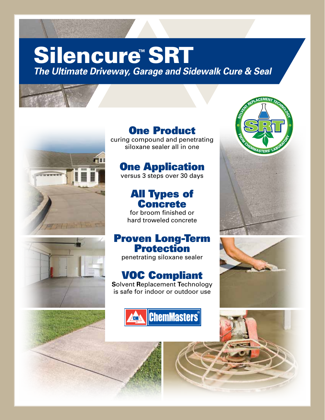# Silencure™SRT

*The Ultimate Driveway, Garage and Sidewalk Cure & Seal*



### One Product

curing compound and penetrating siloxane sealer all in one

### **One Application**

versus 3 steps over 30 days

#### All Types of **Concrete**

for broom finished or hard troweled concrete

#### Proven Long-Term Protection

penetrating siloxane sealer

#### VOC Compliant

**S**olvent **R**eplacement **T**echnology is safe for indoor or outdoor use